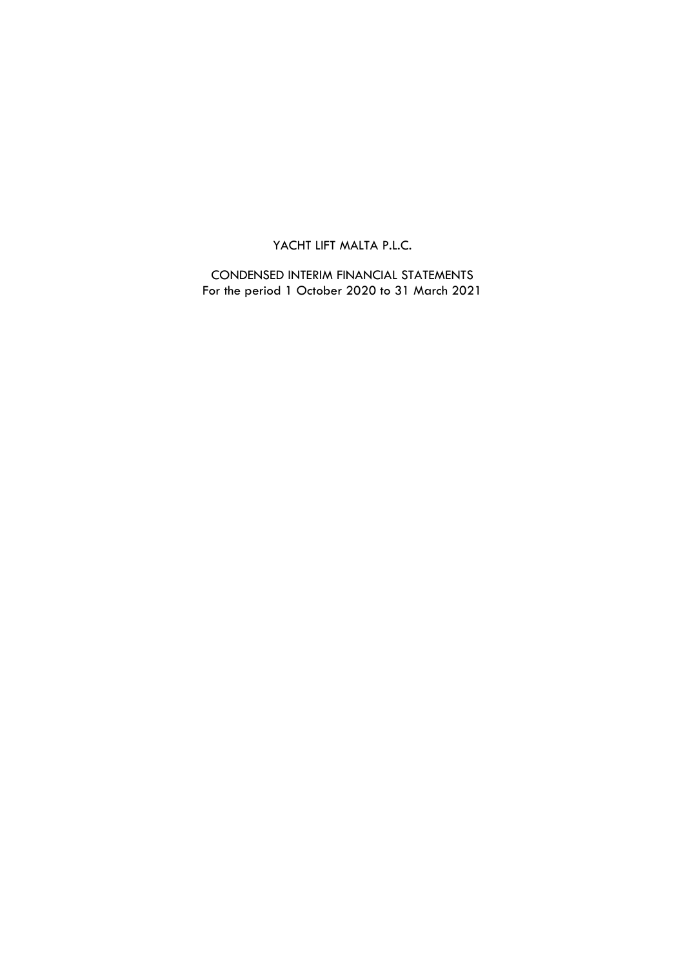CONDENSED INTERIM FINANCIAL STATEMENTS For the period 1 October 2020 to 31 March 2021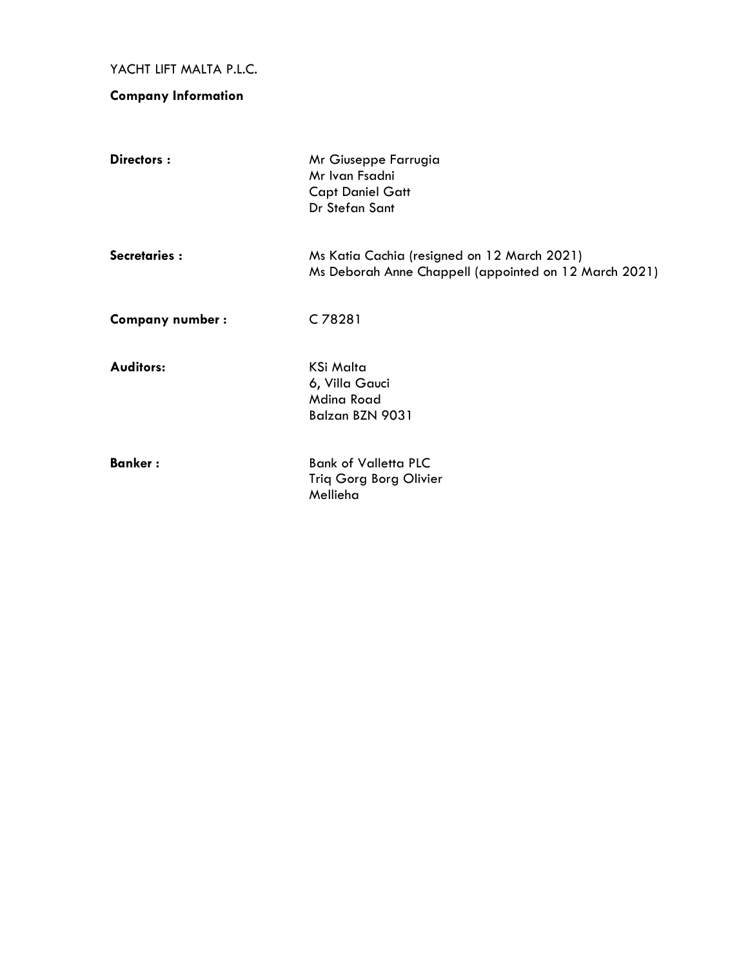# **Company Information**

| Directors:             | Mr Giuseppe Farrugia<br>Mr Ivan Fsadni<br><b>Capt Daniel Gatt</b><br>Dr Stefan Sant                  |
|------------------------|------------------------------------------------------------------------------------------------------|
| Secretaries:           | Ms Katia Cachia (resigned on 12 March 2021)<br>Ms Deborah Anne Chappell (appointed on 12 March 2021) |
| <b>Company number:</b> | C78281                                                                                               |
| <b>Auditors:</b>       | KSi Malta<br>6, Villa Gauci<br><b>Mdina Road</b><br>Balzan BZN 9031                                  |
| <b>Banker:</b>         | <b>Bank of Valletta PLC</b><br>Triq Gorg Borg Olivier<br>Mellieha                                    |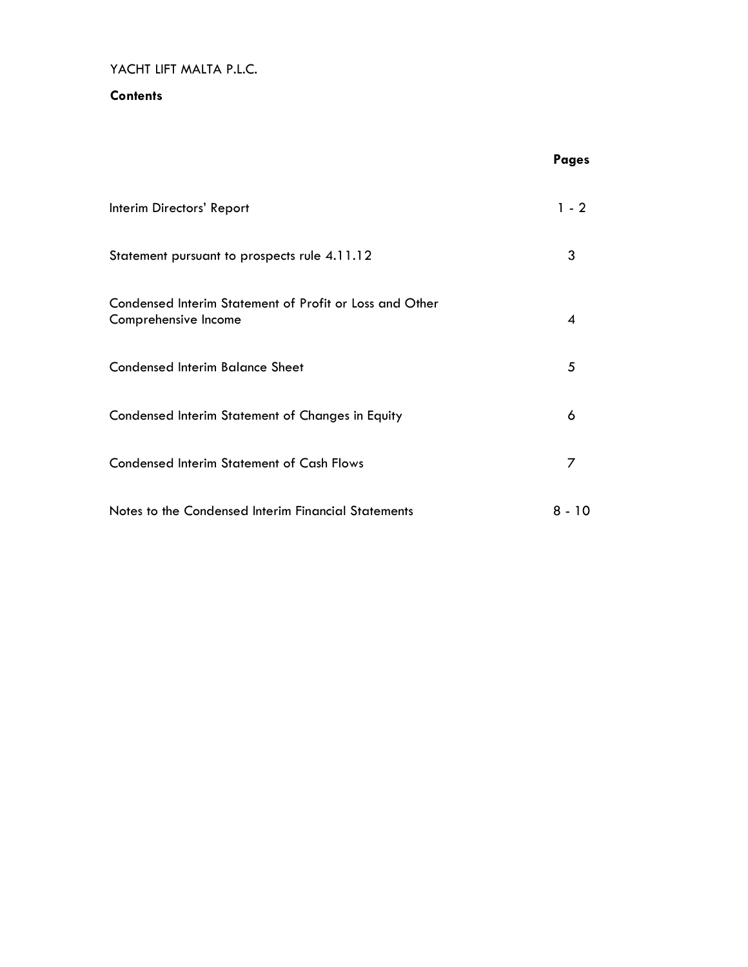### **Contents**

|                                                                                 | <b>Pages</b> |
|---------------------------------------------------------------------------------|--------------|
| Interim Directors' Report                                                       | $1 - 2$      |
| Statement pursuant to prospects rule 4.11.12                                    | 3            |
| Condensed Interim Statement of Profit or Loss and Other<br>Comprehensive Income | 4            |
| <b>Condensed Interim Balance Sheet</b>                                          | 5            |
| Condensed Interim Statement of Changes in Equity                                | 6            |
| <b>Condensed Interim Statement of Cash Flows</b>                                | 7            |
| Notes to the Condensed Interim Financial Statements                             | 8 - 10       |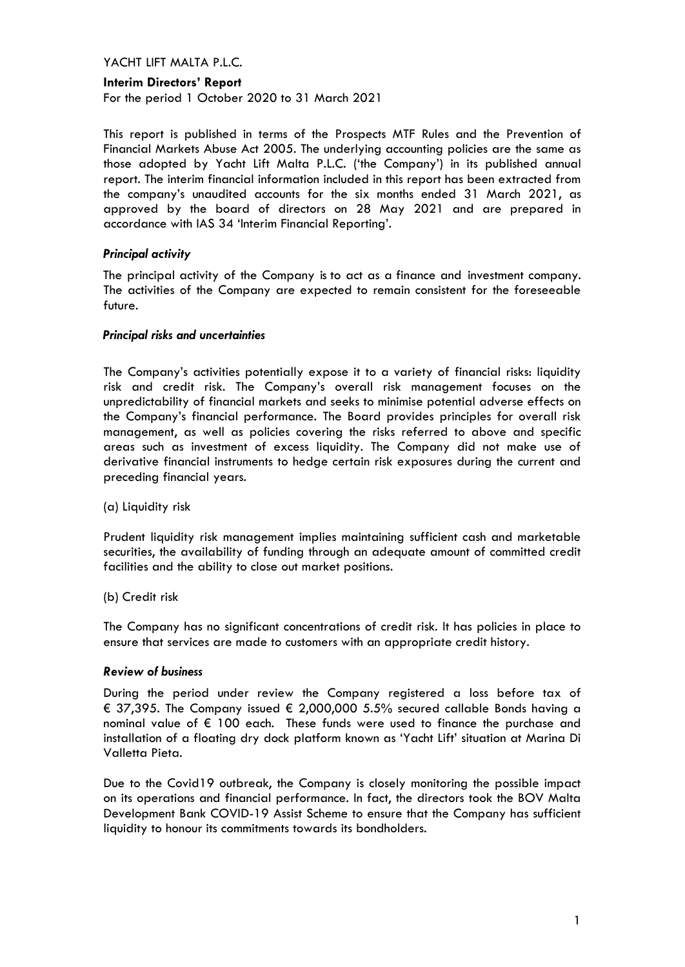#### **Interim Directors' Report**

For the period 1 October 2020 to 31 March 2021

This report is published in terms of the Prospects MTF Rules and the Prevention of Financial Markets Abuse Act 2005. The underlying accounting policies are the same as those adopted by Yacht Lift Malta P.L.C. ('the Company') in its published annual report. The interim financial information included in this report has been extracted from the company's unaudited accounts for the six months ended 31 March 2021, as approved by the board of directors on 28 May 2021 and are prepared in accordance with IAS 34 'Interim Financial Reporting'.

#### *Principal activity*

The principal activity of the Company is to act as a finance and investment company. The activities of the Company are expected to remain consistent for the foreseeable future.

#### *Principal risks and uncertainties*

The Company's activities potentially expose it to a variety of financial risks: liquidity risk and credit risk. The Company's overall risk management focuses on the unpredictability of financial markets and seeks to minimise potential adverse effects on the Company's financial performance. The Board provides principles for overall risk management, as well as policies covering the risks referred to above and specific areas such as investment of excess liquidity. The Company did not make use of derivative financial instruments to hedge certain risk exposures during the current and preceding financial years.

(a) Liquidity risk

Prudent liquidity risk management implies maintaining sufficient cash and marketable securities, the availability of funding through an adequate amount of committed credit facilities and the ability to close out market positions.

(b) Credit risk

The Company has no significant concentrations of credit risk. It has policies in place to ensure that services are made to customers with an appropriate credit history.

#### *Review of business*

During the period under review the Company registered a loss before tax of € 37,395. The Company issued € 2,000,000 5.5% secured callable Bonds having a nominal value of  $\epsilon$  100 each. These funds were used to finance the purchase and installation of a floating dry dock platform known as 'Yacht Lift' situation at Marina Di Valletta Pieta.

Due to the Covid19 outbreak, the Company is closely monitoring the possible impact on its operations and financial performance. In fact, the directors took the BOV Malta Development Bank COVID-19 Assist Scheme to ensure that the Company has sufficient liquidity to honour its commitments towards its bondholders.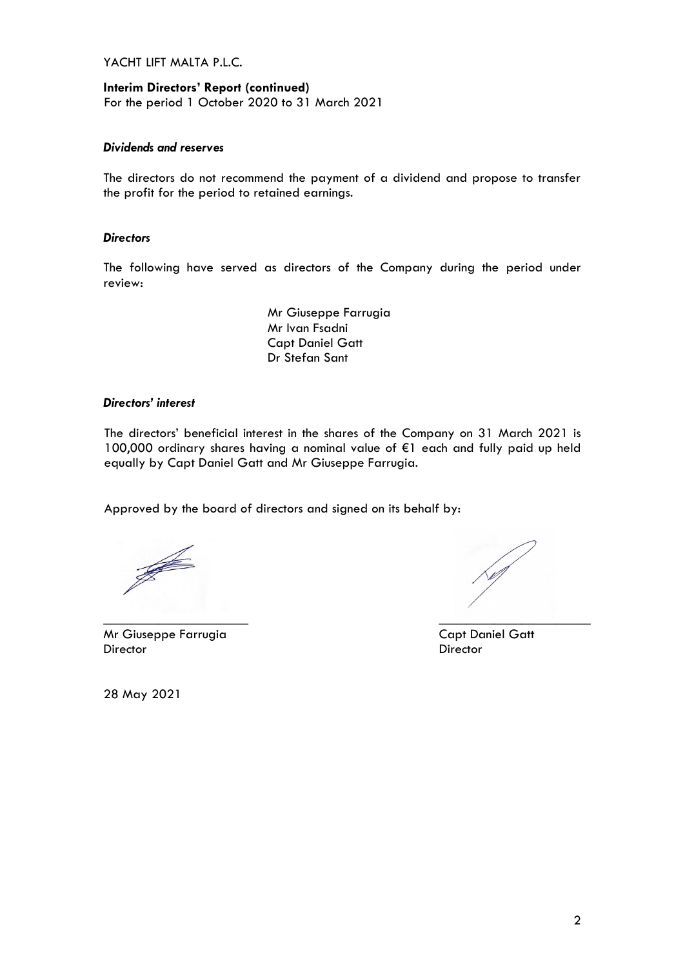**Interim Directors' Report (continued)** For the period 1 October 2020 to 31 March 2021

### *Dividends and reserves*

The directors do not recommend the payment of a dividend and propose to transfer the profit for the period to retained earnings.

#### *Directors*

The following have served as directors of the Company during the period under review:

> Mr Giuseppe Farrugia Mr Ivan Fsadni Capt Daniel Gatt Dr Stefan Sant

#### *Directors' interest*

The directors' beneficial interest in the shares of the Company on 31 March 2021 is 100,000 ordinary shares having a nominal value of €1 each and fully paid up held equally by Capt Daniel Gatt and Mr Giuseppe Farrugia.

Approved by the board of directors and signed on its behalf by:

J

Mr Giuseppe Farrugia Capt Daniel Gatt Director Director

\_\_\_\_\_\_\_\_\_\_\_\_\_\_\_\_\_\_\_\_\_ \_\_\_\_\_\_\_\_\_\_\_\_\_\_\_\_\_\_\_\_\_\_

28 May 2021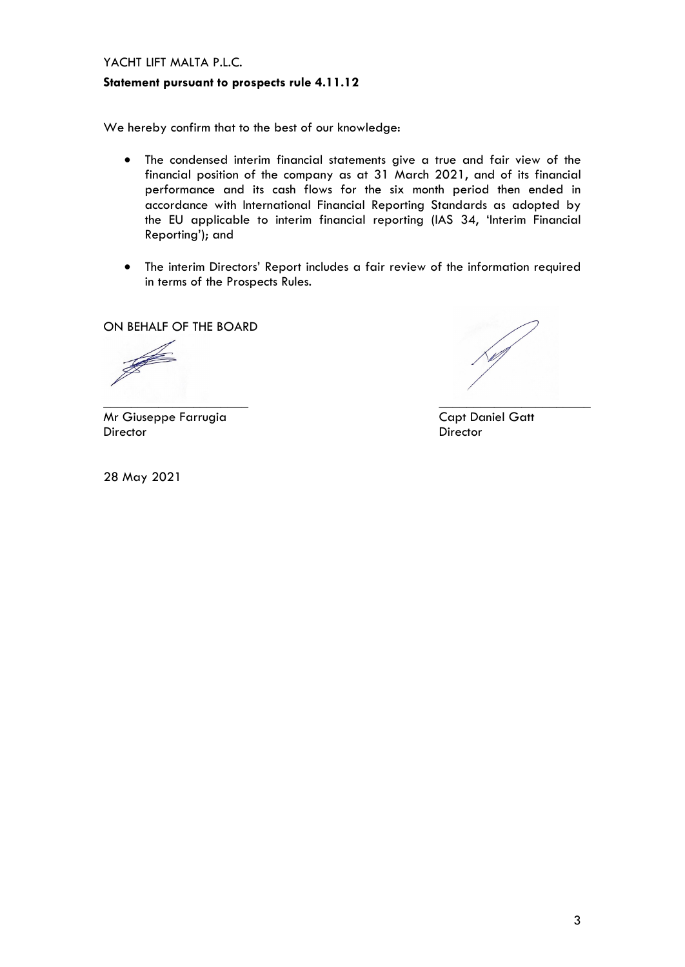#### **Statement pursuant to prospects rule 4.11.12**

We hereby confirm that to the best of our knowledge:

- The condensed interim financial statements give a true and fair view of the financial position of the company as at 31 March 2021, and of its financial performance and its cash flows for the six month period then ended in accordance with International Financial Reporting Standards as adopted by the EU applicable to interim financial reporting (IAS 34, 'Interim Financial Reporting'); and
- The interim Directors' Report includes a fair review of the information required in terms of the Prospects Rules.

ON BEHALF OF THE BOARD

J

\_\_\_\_\_\_\_\_\_\_\_\_\_\_\_\_\_\_\_\_\_ \_\_\_\_\_\_\_\_\_\_\_\_\_\_\_\_\_\_\_\_\_\_

Mr Giuseppe Farrugia Capt Daniel Gatt Director Director

28 May 2021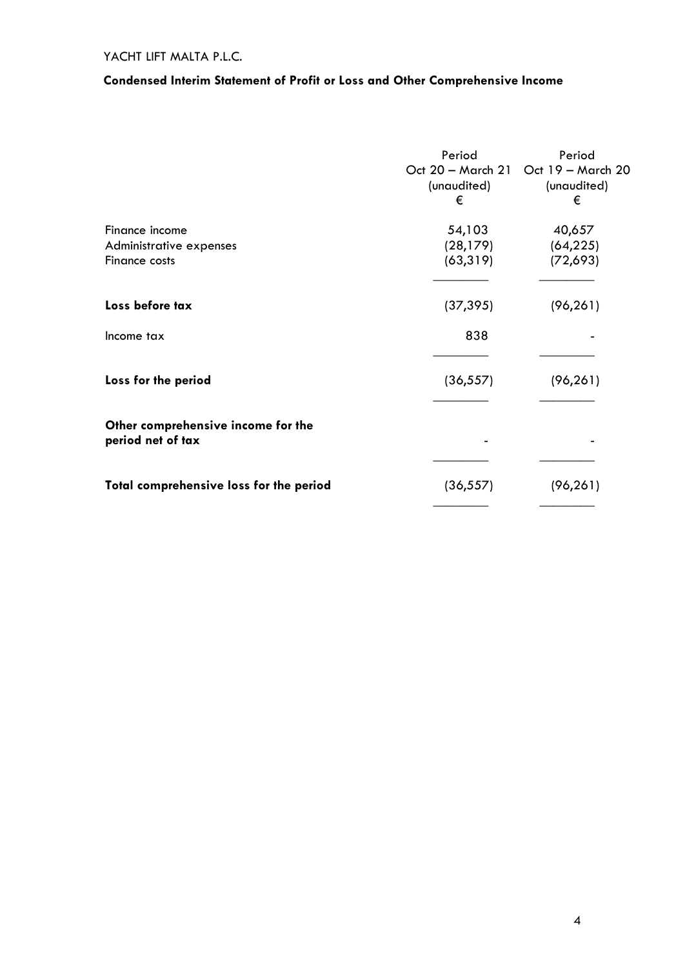# **Condensed Interim Statement of Profit or Loss and Other Comprehensive Income**

|                                                            | Period<br>(unaudited)<br>€       | Period<br>Oct 20 - March 21 Oct 19 - March 20<br>(unaudited)<br>€ |
|------------------------------------------------------------|----------------------------------|-------------------------------------------------------------------|
| Finance income<br>Administrative expenses<br>Finance costs | 54,103<br>(28, 179)<br>(63, 319) | 40,657<br>(64, 225)<br>(72,693)                                   |
| Loss before tax                                            | (37, 395)                        | (96, 261)                                                         |
| Income tax                                                 | 838                              |                                                                   |
| Loss for the period                                        | (36, 557)                        | (96, 261)                                                         |
| Other comprehensive income for the<br>period net of tax    |                                  |                                                                   |
| Total comprehensive loss for the period                    | (36, 557)                        | (96, 261)                                                         |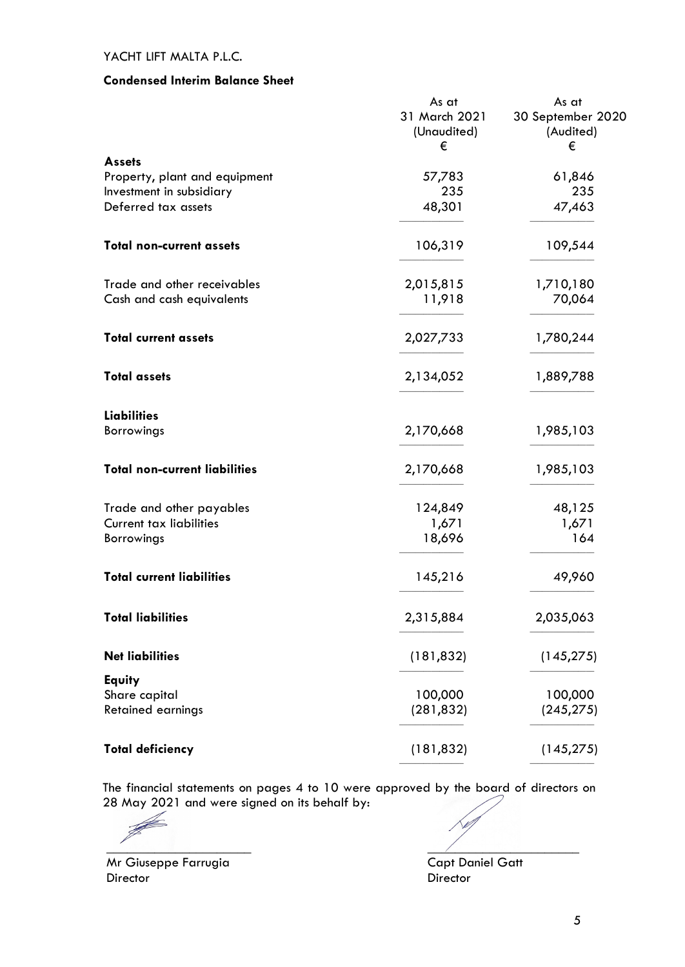### **Condensed Interim Balance Sheet**

|                                      | As at<br>31 March 2021<br>(Unaudited)<br>€ | As at<br>30 September 2020<br>(Audited)<br>€ |
|--------------------------------------|--------------------------------------------|----------------------------------------------|
| <b>Assets</b>                        |                                            |                                              |
| Property, plant and equipment        | 57,783                                     | 61,846                                       |
| Investment in subsidiary             | 235                                        | 235                                          |
| Deferred tax assets                  | 48,301                                     | 47,463                                       |
| <b>Total non-current assets</b>      | 106,319                                    | 109,544                                      |
| Trade and other receivables          | 2,015,815                                  | 1,710,180                                    |
| Cash and cash equivalents            | 11,918                                     | 70,064                                       |
| <b>Total current assets</b>          | 2,027,733                                  | 1,780,244                                    |
| <b>Total assets</b>                  | 2,134,052                                  | 1,889,788                                    |
| <b>Liabilities</b>                   |                                            |                                              |
| Borrowings                           | 2,170,668                                  | 1,985,103                                    |
| <b>Total non-current liabilities</b> | 2,170,668                                  | 1,985,103                                    |
| Trade and other payables             | 124,849                                    | 48,125                                       |
| <b>Current tax liabilities</b>       | 1,671                                      | 1,671                                        |
| <b>Borrowings</b>                    | 18,696                                     | 164                                          |
| <b>Total current liabilities</b>     | 145,216                                    | 49,960                                       |
| <b>Total liabilities</b>             | 2,315,884                                  | 2,035,063                                    |
| <b>Net liabilities</b>               | (181, 832)                                 | (145, 275)                                   |
| <b>Equity</b>                        |                                            |                                              |
| Share capital                        | 100,000                                    | 100,000                                      |
| <b>Retained earnings</b>             | (281, 832)                                 | (245, 275)                                   |
| <b>Total deficiency</b>              | (181, 832)                                 | (145, 275)                                   |

The financial statements on pages 4 to 10 were approved by the board of directors on 28 May 2021 and were signed on its behalf by:

\_\_\_\_\_\_\_\_\_\_\_\_\_\_\_\_\_\_\_\_\_ \_\_\_\_\_\_\_\_\_\_\_\_\_\_\_\_\_\_\_\_\_\_

Mr Giuseppe Farrugia Capt Daniel Gatt Director Director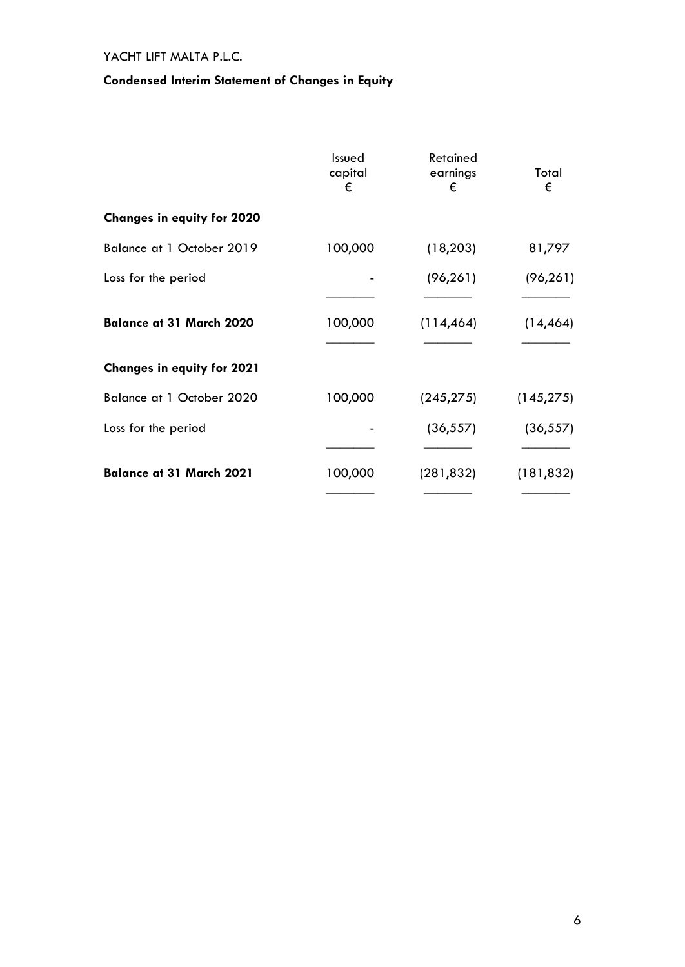# **Condensed Interim Statement of Changes in Equity**

|                                   | Issued<br>capital<br>€ | Retained<br>earnings<br>€ | Total<br>€ |
|-----------------------------------|------------------------|---------------------------|------------|
| <b>Changes in equity for 2020</b> |                        |                           |            |
| Balance at 1 October 2019         | 100,000                | (18, 203)                 | 81,797     |
| Loss for the period               |                        | (96, 261)                 | (96, 261)  |
| <b>Balance at 31 March 2020</b>   | 100,000                | (114, 464)                | (14, 464)  |
| <b>Changes in equity for 2021</b> |                        |                           |            |
| Balance at 1 October 2020         | 100,000                | (245, 275)                | (145, 275) |
| Loss for the period               |                        | (36, 557)                 | (36, 557)  |
| <b>Balance at 31 March 2021</b>   | 100,000                | (281, 832)                | (181, 832) |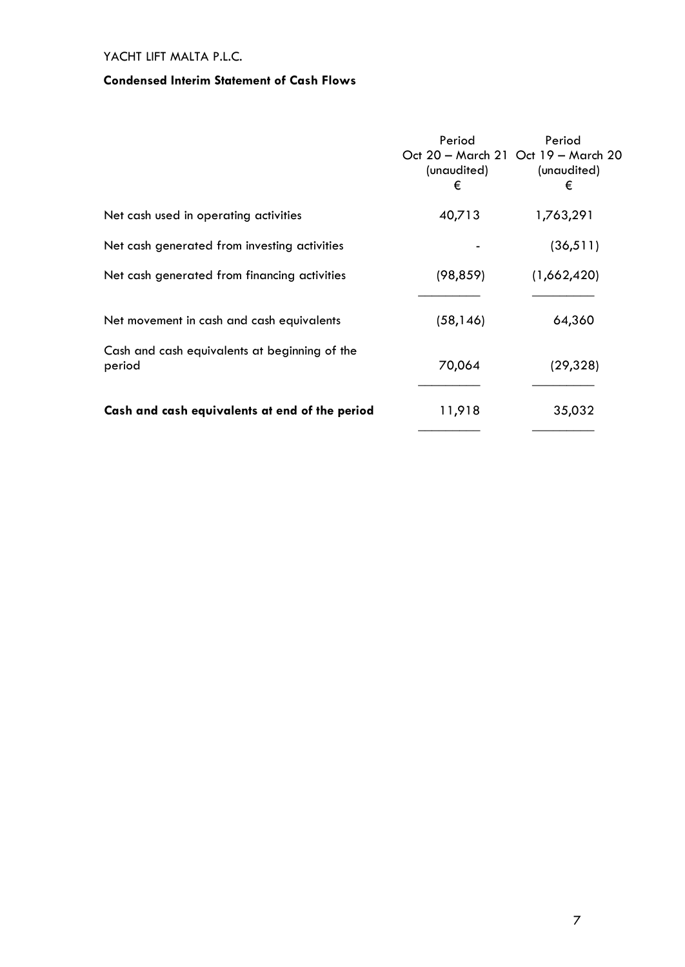## **Condensed Interim Statement of Cash Flows**

|                                                         | Period<br>(unaudited)<br>€ | Period<br>Oct 20 - March 21 Oct 19 - March 20<br>(unaudited)<br>€ |
|---------------------------------------------------------|----------------------------|-------------------------------------------------------------------|
| Net cash used in operating activities                   | 40,713                     | 1,763,291                                                         |
| Net cash generated from investing activities            |                            | (36, 511)                                                         |
| Net cash generated from financing activities            | (98, 859)                  | (1,662,420)                                                       |
| Net movement in cash and cash equivalents               | (58, 146)                  | 64,360                                                            |
| Cash and cash equivalents at beginning of the<br>period | 70,064                     | (29, 328)                                                         |
| Cash and cash equivalents at end of the period          | 11,918                     | 35,032                                                            |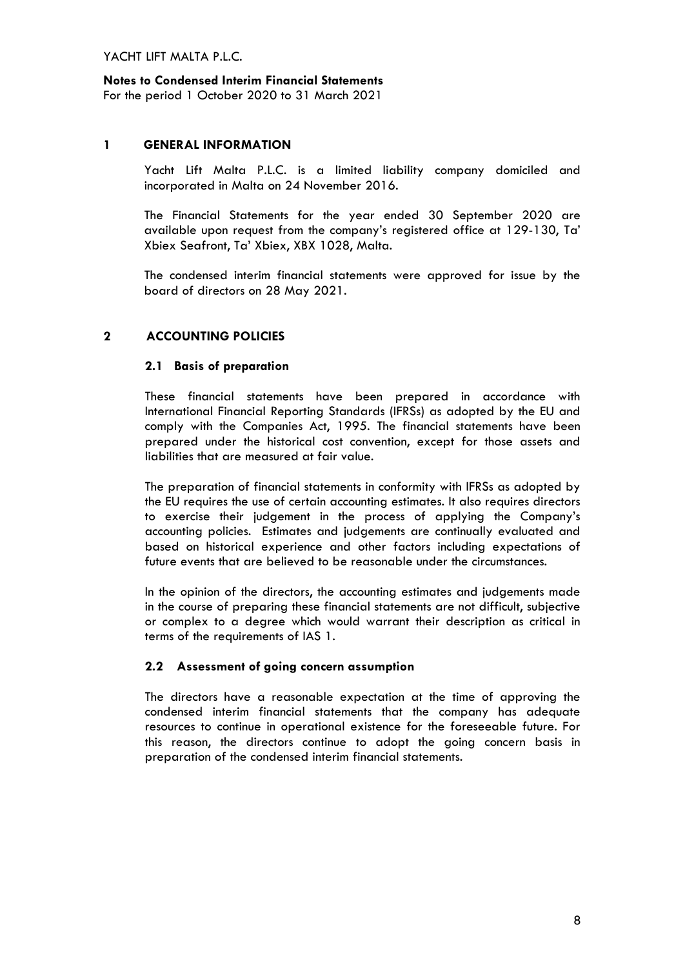### **Notes to Condensed Interim Financial Statements**

For the period 1 October 2020 to 31 March 2021

#### **1 GENERAL INFORMATION**

Yacht Lift Malta P.L.C. is a limited liability company domiciled and incorporated in Malta on 24 November 2016.

The Financial Statements for the year ended 30 September 2020 are available upon request from the company's registered office at 129-130, Ta' Xbiex Seafront, Ta' Xbiex, XBX 1028, Malta.

The condensed interim financial statements were approved for issue by the board of directors on 28 May 2021.

### **2 ACCOUNTING POLICIES**

#### **2.1 Basis of preparation**

These financial statements have been prepared in accordance with International Financial Reporting Standards (IFRSs) as adopted by the EU and comply with the Companies Act, 1995. The financial statements have been prepared under the historical cost convention, except for those assets and liabilities that are measured at fair value.

The preparation of financial statements in conformity with IFRSs as adopted by the EU requires the use of certain accounting estimates. It also requires directors to exercise their judgement in the process of applying the Company's accounting policies. Estimates and judgements are continually evaluated and based on historical experience and other factors including expectations of future events that are believed to be reasonable under the circumstances.

In the opinion of the directors, the accounting estimates and judgements made in the course of preparing these financial statements are not difficult, subjective or complex to a degree which would warrant their description as critical in terms of the requirements of IAS 1.

### **2.2 Assessment of going concern assumption**

The directors have a reasonable expectation at the time of approving the condensed interim financial statements that the company has adequate resources to continue in operational existence for the foreseeable future. For this reason, the directors continue to adopt the going concern basis in preparation of the condensed interim financial statements.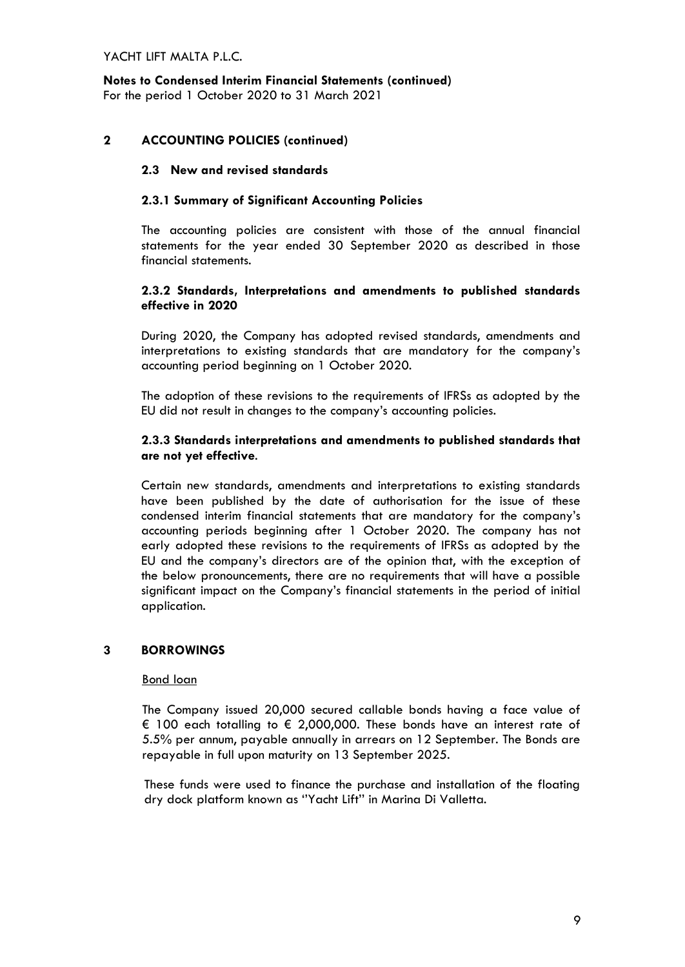**Notes to Condensed Interim Financial Statements (continued)** For the period 1 October 2020 to 31 March 2021

## **2 ACCOUNTING POLICIES (continued)**

### **2.3 New and revised standards**

### **2.3.1 Summary of Significant Accounting Policies**

The accounting policies are consistent with those of the annual financial statements for the year ended 30 September 2020 as described in those financial statements.

### **2.3.2 Standards, Interpretations and amendments to published standards effective in 2020**

During 2020, the Company has adopted revised standards, amendments and interpretations to existing standards that are mandatory for the company's accounting period beginning on 1 October 2020.

The adoption of these revisions to the requirements of IFRSs as adopted by the EU did not result in changes to the company's accounting policies.

#### **2.3.3 Standards interpretations and amendments to published standards that are not yet effective**.

Certain new standards, amendments and interpretations to existing standards have been published by the date of authorisation for the issue of these condensed interim financial statements that are mandatory for the company's accounting periods beginning after 1 October 2020. The company has not early adopted these revisions to the requirements of IFRSs as adopted by the EU and the company's directors are of the opinion that, with the exception of the below pronouncements, there are no requirements that will have a possible significant impact on the Company's financial statements in the period of initial application.

### **3 BORROWINGS**

#### Bond loan

The Company issued 20,000 secured callable bonds having a face value of € 100 each totalling to € 2,000,000. These bonds have an interest rate of 5.5% per annum, payable annually in arrears on 12 September. The Bonds are repayable in full upon maturity on 13 September 2025.

These funds were used to finance the purchase and installation of the floating dry dock platform known as ''Yacht Lift'' in Marina Di Valletta.